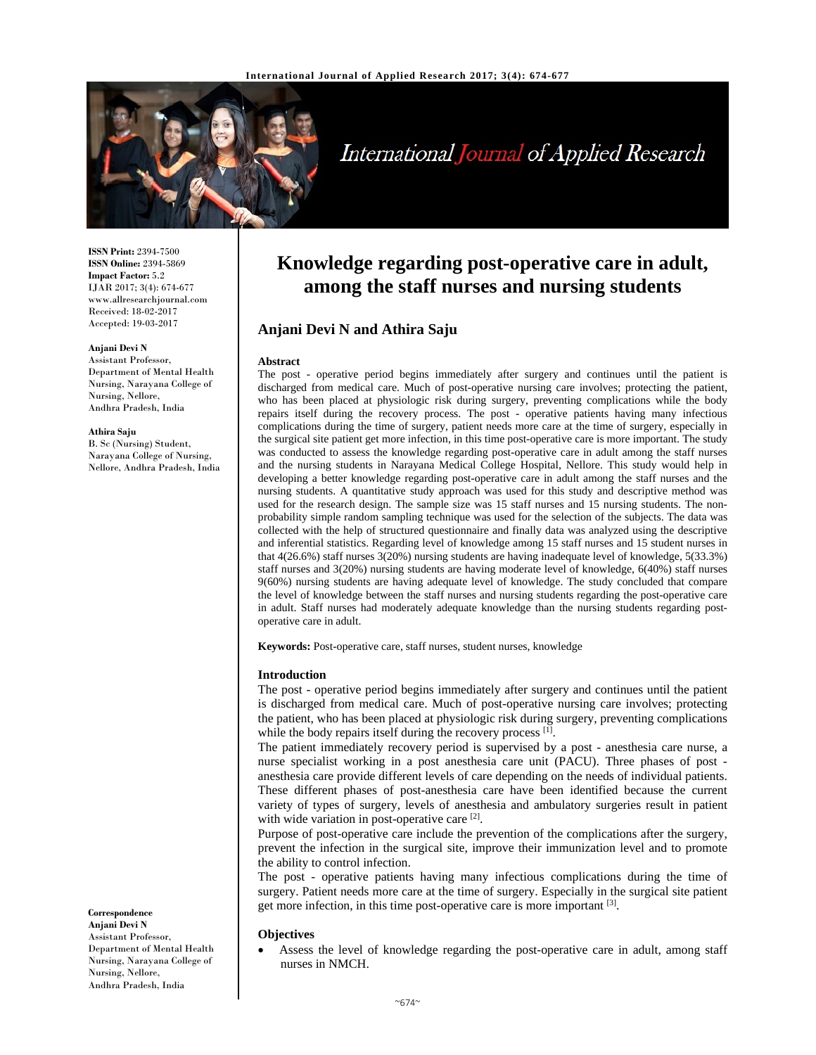

# International Journal of Applied Research

**ISSN Print:** 2394-7500 **ISSN Online:** 2394-5869 **Impact Factor:** 5.2 IJAR 2017; 3(4): 674-677 www.allresearchjournal.com Received: 18-02-2017 Accepted: 19-03-2017

#### **Anjani Devi N**

Assistant Professor, Department of Mental Health Nursing, Narayana College of Nursing, Nellore, Andhra Pradesh, India

#### **Athira Saju**

B. Sc (Nursing) Student, Narayana College of Nursing, Nellore, Andhra Pradesh, India

**Correspondence Anjani Devi N**  Assistant Professor, Department of Mental Health

Nursing, Narayana College of Nursing, Nellore, Andhra Pradesh, India

# **Knowledge regarding post-operative care in adult, among the staff nurses and nursing students**

# **Anjani Devi N and Athira Saju**

#### **Abstract**

The post - operative period begins immediately after surgery and continues until the patient is discharged from medical care. Much of post-operative nursing care involves; protecting the patient, who has been placed at physiologic risk during surgery, preventing complications while the body repairs itself during the recovery process. The post - operative patients having many infectious complications during the time of surgery, patient needs more care at the time of surgery, especially in the surgical site patient get more infection, in this time post-operative care is more important. The study was conducted to assess the knowledge regarding post-operative care in adult among the staff nurses and the nursing students in Narayana Medical College Hospital, Nellore. This study would help in developing a better knowledge regarding post-operative care in adult among the staff nurses and the nursing students. A quantitative study approach was used for this study and descriptive method was used for the research design. The sample size was 15 staff nurses and 15 nursing students. The nonprobability simple random sampling technique was used for the selection of the subjects. The data was collected with the help of structured questionnaire and finally data was analyzed using the descriptive and inferential statistics. Regarding level of knowledge among 15 staff nurses and 15 student nurses in that 4(26.6%) staff nurses 3(20%) nursing students are having inadequate level of knowledge, 5(33.3%) staff nurses and 3(20%) nursing students are having moderate level of knowledge, 6(40%) staff nurses 9(60%) nursing students are having adequate level of knowledge. The study concluded that compare the level of knowledge between the staff nurses and nursing students regarding the post-operative care in adult. Staff nurses had moderately adequate knowledge than the nursing students regarding postoperative care in adult.

**Keywords:** Post-operative care, staff nurses, student nurses, knowledge

#### **Introduction**

The post - operative period begins immediately after surgery and continues until the patient is discharged from medical care. Much of post-operative nursing care involves; protecting the patient, who has been placed at physiologic risk during surgery, preventing complications while the body repairs itself during the recovery process [1].

The patient immediately recovery period is supervised by a post - anesthesia care nurse, a nurse specialist working in a post anesthesia care unit (PACU). Three phases of post anesthesia care provide different levels of care depending on the needs of individual patients. These different phases of post-anesthesia care have been identified because the current variety of types of surgery, levels of anesthesia and ambulatory surgeries result in patient with wide variation in post-operative care [2].

Purpose of post-operative care include the prevention of the complications after the surgery, prevent the infection in the surgical site, improve their immunization level and to promote the ability to control infection.

The post - operative patients having many infectious complications during the time of surgery. Patient needs more care at the time of surgery. Especially in the surgical site patient get more infection, in this time post-operative care is more important [3].

#### **Objectives**

 Assess the level of knowledge regarding the post-operative care in adult, among staff nurses in NMCH.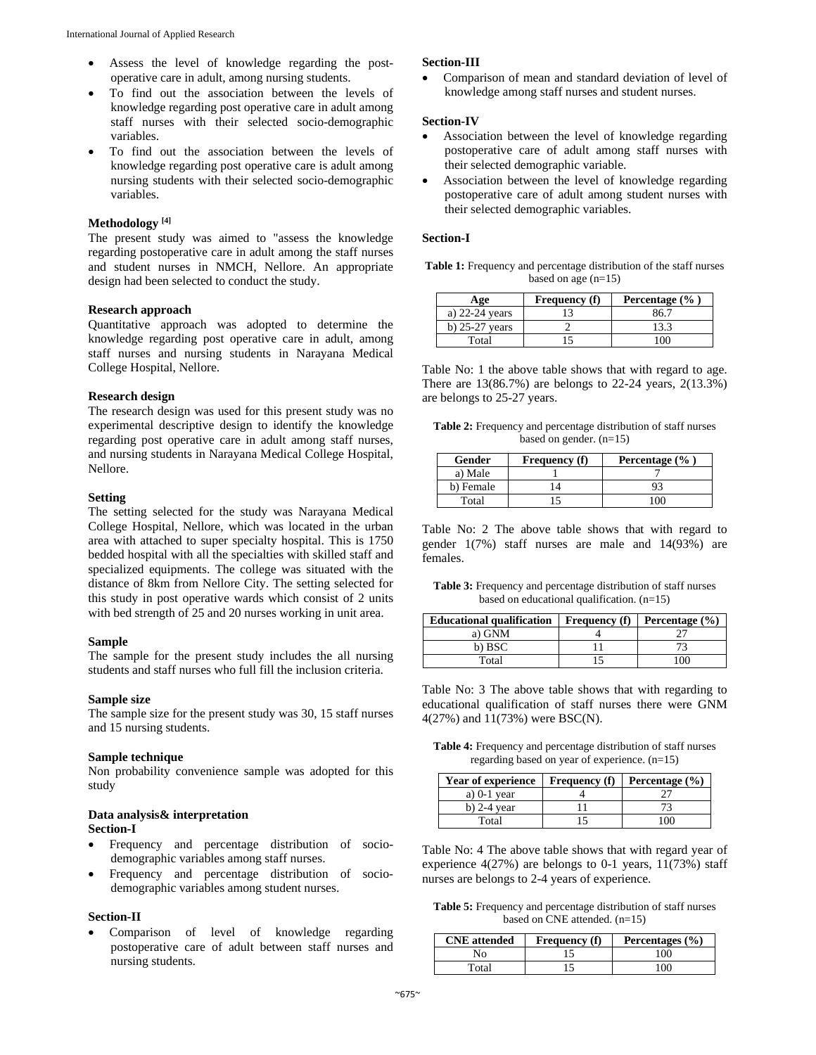- Assess the level of knowledge regarding the postoperative care in adult, among nursing students.
- To find out the association between the levels of knowledge regarding post operative care in adult among staff nurses with their selected socio-demographic variables.
- To find out the association between the levels of knowledge regarding post operative care is adult among nursing students with their selected socio-demographic variables.

# **Methodology [4]**

The present study was aimed to "assess the knowledge regarding postoperative care in adult among the staff nurses and student nurses in NMCH, Nellore. An appropriate design had been selected to conduct the study.

#### **Research approach**

Quantitative approach was adopted to determine the knowledge regarding post operative care in adult, among staff nurses and nursing students in Narayana Medical College Hospital, Nellore.

#### **Research design**

The research design was used for this present study was no experimental descriptive design to identify the knowledge regarding post operative care in adult among staff nurses, and nursing students in Narayana Medical College Hospital, Nellore.

# **Setting**

The setting selected for the study was Narayana Medical College Hospital, Nellore, which was located in the urban area with attached to super specialty hospital. This is 1750 bedded hospital with all the specialties with skilled staff and specialized equipments. The college was situated with the distance of 8km from Nellore City. The setting selected for this study in post operative wards which consist of 2 units with bed strength of 25 and 20 nurses working in unit area.

#### **Sample**

The sample for the present study includes the all nursing students and staff nurses who full fill the inclusion criteria.

#### **Sample size**

The sample size for the present study was 30, 15 staff nurses and 15 nursing students.

# **Sample technique**

Non probability convenience sample was adopted for this study

#### **Data analysis& interpretation Section-I**

- Frequency and percentage distribution of sociodemographic variables among staff nurses.
- Frequency and percentage distribution of sociodemographic variables among student nurses.

#### **Section-II**

 Comparison of level of knowledge regarding postoperative care of adult between staff nurses and nursing students.

#### **Section-III**

 Comparison of mean and standard deviation of level of knowledge among staff nurses and student nurses.

#### **Section-IV**

- Association between the level of knowledge regarding postoperative care of adult among staff nurses with their selected demographic variable.
- Association between the level of knowledge regarding postoperative care of adult among student nurses with their selected demographic variables.

#### **Section-I**

Table 1: Frequency and percentage distribution of the staff nurses based on age  $(n=15)$ 

| Age              | <b>Frequency</b> (f) | Percentage $(\%$ ) |
|------------------|----------------------|--------------------|
| a) $22-24$ years |                      | 86.7               |
| b) $25-27$ years |                      | 13.3               |
| Total            |                      |                    |

Table No: 1 the above table shows that with regard to age. There are 13(86.7%) are belongs to 22-24 years, 2(13.3%) are belongs to 25-27 years.

| <b>Table 2:</b> Frequency and percentage distribution of staff nurses |
|-----------------------------------------------------------------------|
| based on gender. $(n=15)$                                             |

| Gender    | Percentage $(\% )$<br><b>Frequency</b> (f) |  |
|-----------|--------------------------------------------|--|
| a) Male   |                                            |  |
| b) Female |                                            |  |
| Total     |                                            |  |

Table No: 2 The above table shows that with regard to gender 1(7%) staff nurses are male and 14(93%) are females.

**Table 3:** Frequency and percentage distribution of staff nurses based on educational qualification. (n=15)

| <b>Educational qualification</b> | <b>Frequency</b> (f) | Percentage $(\% )$ |
|----------------------------------|----------------------|--------------------|
| a) GNM                           |                      |                    |
| b) BSC                           |                      |                    |
| Total                            |                      | 0 <sup>0</sup>     |

Table No: 3 The above table shows that with regarding to educational qualification of staff nurses there were GNM 4(27%) and 11(73%) were BSC(N).

**Table 4:** Frequency and percentage distribution of staff nurses regarding based on year of experience. (n=15)

| Year of experience | <b>Frequency</b> (f) | Percentage $(\% )$ |
|--------------------|----------------------|--------------------|
| a) $0-1$ year      |                      |                    |
| b) $2-4$ year      |                      |                    |
| Total              |                      | M                  |

Table No: 4 The above table shows that with regard year of experience 4(27%) are belongs to 0-1 years, 11(73%) staff nurses are belongs to 2-4 years of experience.

**Table 5:** Frequency and percentage distribution of staff nurses based on CNE attended. (n=15)

| <b>CNE</b> attended | <b>Frequency</b> (f) | Percentages (%) |
|---------------------|----------------------|-----------------|
| No                  |                      | . 00.           |
| Total               |                      | 100.            |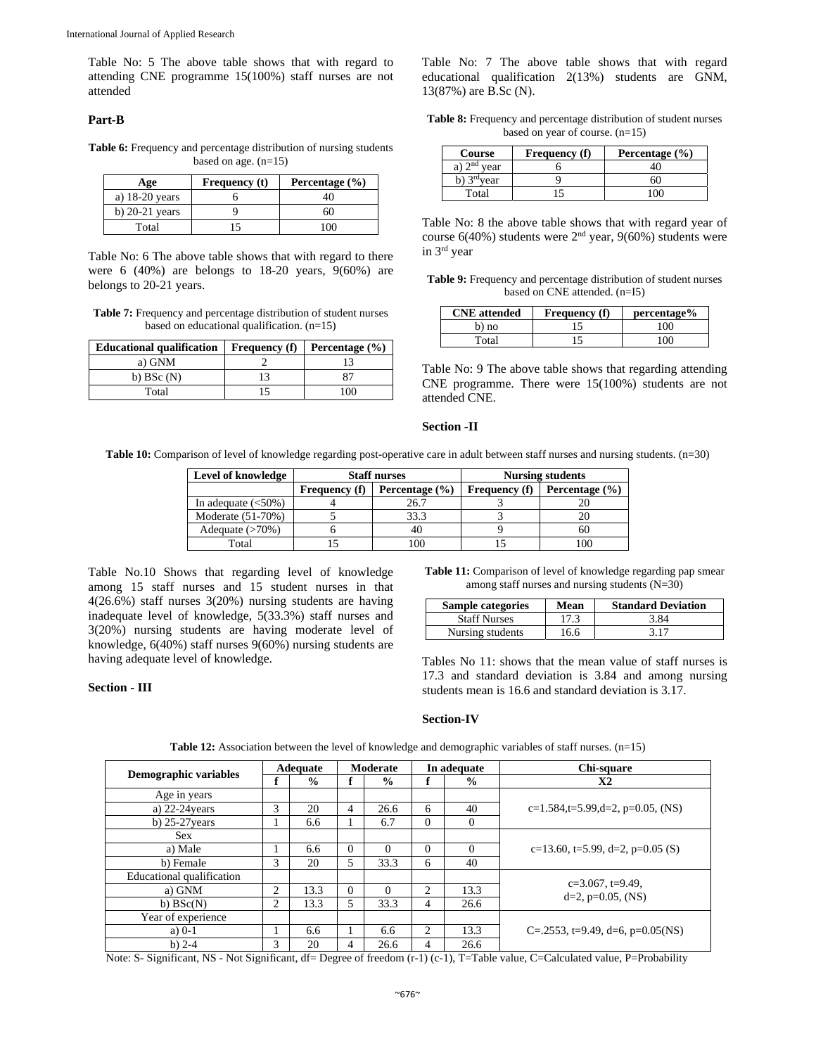Table No: 5 The above table shows that with regard to attending CNE programme 15(100%) staff nurses are not attended

### **Part-B**

Table 6: Frequency and percentage distribution of nursing students based on age. (n=15)

| Age              | <b>Frequency</b> (t) | Percentage $(\% )$ |
|------------------|----------------------|--------------------|
| a) $18-20$ years |                      | 40                 |
| b) $20-21$ years |                      | 60                 |
| Total            |                      | 0 <sup>0</sup>     |

Table No: 6 The above table shows that with regard to there were 6 (40%) are belongs to 18-20 years, 9(60%) are belongs to 20-21 years.

**Table 7:** Frequency and percentage distribution of student nurses based on educational qualification. (n=15)

| <b>Educational qualification</b> | <b>Frequency</b> (f) | Percentage $(\% )$ |
|----------------------------------|----------------------|--------------------|
| a) GNM                           |                      |                    |
| b) $BSc(N)$                      |                      | 87                 |
| Total                            |                      | 0 <sup>0</sup>     |

Table No: 7 The above table shows that with regard educational qualification 2(13%) students are GNM, 13(87%) are B.Sc (N).

**Table 8:** Frequency and percentage distribution of student nurses based on year of course. (n=15)

| <b>Course</b><br><b>Frequency</b> (f) |  | Percentage $(\% )$ |
|---------------------------------------|--|--------------------|
| a) $2nd$ year                         |  |                    |
| b) $3^{\text{rd}}$ vear               |  | 60                 |
| Total                                 |  |                    |

Table No: 8 the above table shows that with regard year of course  $6(40%)$  students were  $2<sup>nd</sup>$  year,  $9(60%)$  students were in 3rd year

**Table 9:** Frequency and percentage distribution of student nurses based on CNE attended. (n=I5)

| <b>CNE</b> attended | <b>Frequency</b> (f) | percentage% |
|---------------------|----------------------|-------------|
| b) no               |                      | 100         |
| Total               |                      | 100         |

Table No: 9 The above table shows that regarding attending CNE programme. There were 15(100%) students are not attended CNE.

#### **Section -II**

**Table 10:** Comparison of level of knowledge regarding post-operative care in adult between staff nurses and nursing students. (n=30)

| Level of knowledge    | <b>Staff nurses</b>  |                    |                      | <b>Nursing students</b> |
|-----------------------|----------------------|--------------------|----------------------|-------------------------|
|                       | <b>Frequency</b> (f) | Percentage $(\% )$ | <b>Frequency</b> (f) | Percentage $(\% )$      |
| In adequate $(<50\%)$ |                      | 26.7               |                      |                         |
| Moderate (51-70%)     |                      | 33.3               |                      |                         |
| Adequate $(>70\%)$    |                      | 40                 |                      | 60                      |
| Total                 |                      | 100                |                      |                         |

Table No.10 Shows that regarding level of knowledge among 15 staff nurses and 15 student nurses in that 4(26.6%) staff nurses 3(20%) nursing students are having inadequate level of knowledge, 5(33.3%) staff nurses and 3(20%) nursing students are having moderate level of knowledge, 6(40%) staff nurses 9(60%) nursing students are having adequate level of knowledge.

**Section - III** 

**Table 11:** Comparison of level of knowledge regarding pap smear among staff nurses and nursing students (N=30)

| Sample categories   | Mean | <b>Standard Deviation</b> |
|---------------------|------|---------------------------|
| <b>Staff Nurses</b> | 17.3 | 3.84                      |
| Nursing students    | 16.6 | 3.17                      |

Tables No 11: shows that the mean value of staff nurses is 17.3 and standard deviation is 3.84 and among nursing students mean is 16.6 and standard deviation is 3.17.

# **Section-IV**

| Demographic variables     | Adequate |               | Moderate |               | In adequate |               | Chi-square                         |
|---------------------------|----------|---------------|----------|---------------|-------------|---------------|------------------------------------|
|                           |          | $\frac{0}{0}$ |          | $\frac{0}{0}$ |             | $\frac{0}{0}$ | <b>X2</b>                          |
| Age in years              |          |               |          |               |             |               |                                    |
| a) $22-24$ years          | 3        | 20            | 4        | 26.6          | 6           | 40            | $c=1.584,t=5.99,d=2, p=0.05, (NS)$ |
| b) $25-27$ years          |          | 6.6           |          | 6.7           | $\Omega$    | $\Omega$      |                                    |
| <b>Sex</b>                |          |               |          |               |             |               |                                    |
| a) Male                   |          | 6.6           | $\Omega$ | $\Omega$      | $\Omega$    | $\Omega$      | c=13.60, t=5.99, d=2, p=0.05 (S)   |
| b) Female                 | 3        | 20            | 5        | 33.3          | 6           | 40            |                                    |
| Educational qualification |          |               |          |               |             |               |                                    |
| a) GNM                    | 2        | 13.3          | $\Omega$ | $\Omega$      | 2           | 13.3          | $c=3.067$ , t=9.49,                |
| b) BSc(N)                 | 2        | 13.3          | 5        | 33.3          | 4           | 26.6          | $d=2$ , p=0.05, (NS)               |
| Year of experience        |          |               |          |               |             |               |                                    |
| a) $0-1$                  |          | 6.6           |          | 6.6           | 2           | 13.3          | C=.2553, t=9.49, d=6, p=0.05(NS)   |
| b) $2-4$                  | 3        | 20            | 4        | 26.6          | 4           | 26.6          |                                    |

**Table 12:** Association between the level of knowledge and demographic variables of staff nurses. (n=15)

Note: S- Significant, NS - Not Significant, df= Degree of freedom (r-1) (c-1), T=Table value, C=Calculated value, P=Probability